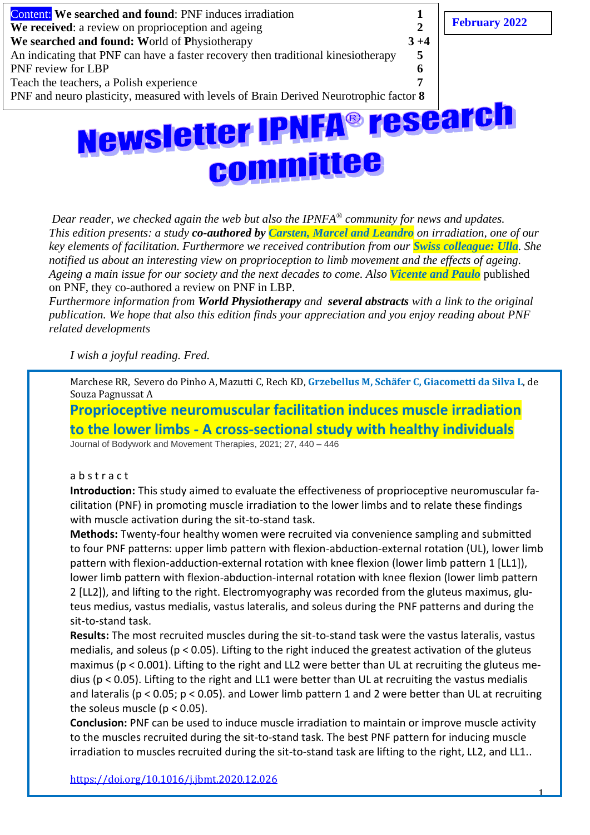

*Dear reader, we checked again the web but also the IPNFA® community for news and updates. This edition presents: a study co-authored by Carsten, Marcel and Leandro on irradiation, one of our key elements of facilitation. Furthermore we received contribution from our Swiss colleague: Ulla. She notified us about an interesting view on proprioception to limb movement and the effects of ageing. Ageing a main issue for our society and the next decades to come. Also Vicente and Paulo* published on PNF, they co-authored a review on PNF in LBP.

*Furthermore information from World Physiotherapy and several abstracts with a link to the original publication. We hope that also this edition finds your appreciation and you enjoy reading about PNF related developments* 

*I wish a joyful reading. Fred.*

Marchese RR, Severo do Pinho A, Mazutti C, Rech KD, **Grzebellus M, Schäfer C, Giacometti da Silva L**, de Souza Pagnussat A

**Proprioceptive neuromuscular facilitation induces muscle irradiation to the lower limbs - A cross-sectional study with healthy individuals** Journal of Bodywork and Movement Therapies, 2021; 27, 440 – 446

#### a b s t r a c t

**Introduction:** This study aimed to evaluate the effectiveness of proprioceptive neuromuscular facilitation (PNF) in promoting muscle irradiation to the lower limbs and to relate these findings with muscle activation during the sit-to-stand task.

**Methods:** Twenty-four healthy women were recruited via convenience sampling and submitted to four PNF patterns: upper limb pattern with flexion-abduction-external rotation (UL), lower limb pattern with flexion-adduction-external rotation with knee flexion (lower limb pattern 1 [LL1]), lower limb pattern with flexion-abduction-internal rotation with knee flexion (lower limb pattern 2 [LL2]), and lifting to the right. Electromyography was recorded from the gluteus maximus, gluteus medius, vastus medialis, vastus lateralis, and soleus during the PNF patterns and during the sit-to-stand task.

**Results:** The most recruited muscles during the sit-to-stand task were the vastus lateralis, vastus medialis, and soleus (p < 0.05). Lifting to the right induced the greatest activation of the gluteus maximus (p < 0.001). Lifting to the right and LL2 were better than UL at recruiting the gluteus medius (p < 0.05). Lifting to the right and LL1 were better than UL at recruiting the vastus medialis and lateralis (p < 0.05; p < 0.05). and Lower limb pattern 1 and 2 were better than UL at recruiting the soleus muscle ( $p < 0.05$ ).

**Conclusion:** PNF can be used to induce muscle irradiation to maintain or improve muscle activity to the muscles recruited during the sit-to-stand task. The best PNF pattern for inducing muscle irradiation to muscles recruited during the sit-to-stand task are lifting to the right, LL2, and LL1..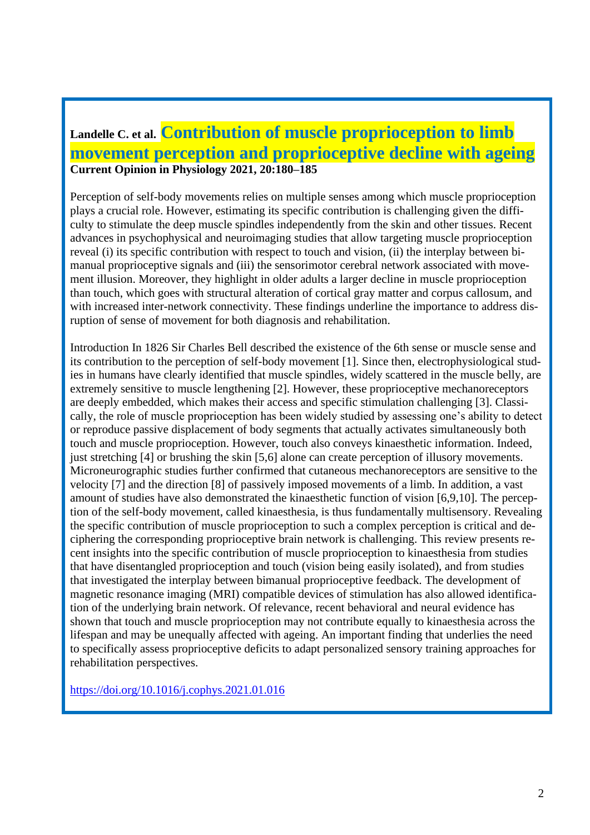## **Landelle C. et al. Contribution of muscle proprioception to limb movement perception and proprioceptive decline with ageing Current Opinion in Physiology 2021, 20:180–185**

Perception of self-body movements relies on multiple senses among which muscle proprioception plays a crucial role. However, estimating its specific contribution is challenging given the difficulty to stimulate the deep muscle spindles independently from the skin and other tissues. Recent advances in psychophysical and neuroimaging studies that allow targeting muscle proprioception reveal (i) its specific contribution with respect to touch and vision, (ii) the interplay between bimanual proprioceptive signals and (iii) the sensorimotor cerebral network associated with movement illusion. Moreover, they highlight in older adults a larger decline in muscle proprioception than touch, which goes with structural alteration of cortical gray matter and corpus callosum, and with increased inter-network connectivity. These findings underline the importance to address disruption of sense of movement for both diagnosis and rehabilitation.

Introduction In 1826 Sir Charles Bell described the existence of the 6th sense or muscle sense and its contribution to the perception of self-body movement [1]. Since then, electrophysiological studies in humans have clearly identified that muscle spindles, widely scattered in the muscle belly, are extremely sensitive to muscle lengthening [2]. However, these proprioceptive mechanoreceptors are deeply embedded, which makes their access and specific stimulation challenging [3]. Classically, the role of muscle proprioception has been widely studied by assessing one's ability to detect or reproduce passive displacement of body segments that actually activates simultaneously both touch and muscle proprioception. However, touch also conveys kinaesthetic information. Indeed, just stretching [4] or brushing the skin [5,6] alone can create perception of illusory movements. Microneurographic studies further confirmed that cutaneous mechanoreceptors are sensitive to the velocity [7] and the direction [8] of passively imposed movements of a limb. In addition, a vast amount of studies have also demonstrated the kinaesthetic function of vision [6,9,10]. The perception of the self-body movement, called kinaesthesia, is thus fundamentally multisensory. Revealing the specific contribution of muscle proprioception to such a complex perception is critical and deciphering the corresponding proprioceptive brain network is challenging. This review presents recent insights into the specific contribution of muscle proprioception to kinaesthesia from studies that have disentangled proprioception and touch (vision being easily isolated), and from studies that investigated the interplay between bimanual proprioceptive feedback. The development of magnetic resonance imaging (MRI) compatible devices of stimulation has also allowed identification of the underlying brain network. Of relevance, recent behavioral and neural evidence has shown that touch and muscle proprioception may not contribute equally to kinaesthesia across the lifespan and may be unequally affected with ageing. An important finding that underlies the need to specifically assess proprioceptive deficits to adapt personalized sensory training approaches for rehabilitation perspectives.

<https://doi.org/10.1016/j.cophys.2021.01.016>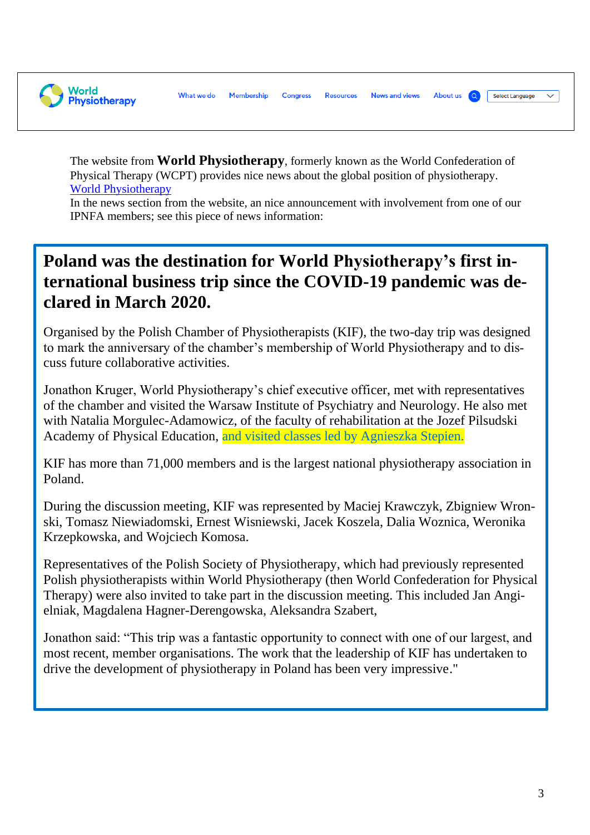**World Physiotherapy** 

What we do Membership **News and views About us** Select Language **Congress Resources** 

The website from **World Physiotherapy**, formerly known as the World Confederation of Physical Therapy (WCPT) provides nice news about the global position of physiotherapy. [World Physiotherapy](https://world.physio/)

In the news section from the website, an nice announcement with involvement from one of our IPNFA members; see this piece of news information:

## **Poland was the destination for World Physiotherapy's first international business trip since the COVID-19 pandemic was declared in March 2020.**

Organised by the Polish Chamber of Physiotherapists (KIF), the two-day trip was designed to mark the anniversary of the chamber's membership of World Physiotherapy and to discuss future collaborative activities.

Jonathon Kruger, World Physiotherapy's chief executive officer, met with representatives of the chamber and visited the Warsaw Institute of Psychiatry and Neurology. He also met with Natalia Morgulec-Adamowicz, of the faculty of rehabilitation at the Jozef Pilsudski Academy of Physical Education, and visited classes led by Agnieszka Stepien.

KIF has more than 71,000 members and is the largest national physiotherapy association in Poland.

During the discussion meeting, KIF was represented by Maciej Krawczyk, Zbigniew Wronski, Tomasz Niewiadomski, Ernest Wisniewski, Jacek Koszela, Dalia Woznica, Weronika Krzepkowska, and Wojciech Komosa.

Representatives of the Polish Society of Physiotherapy, which had previously represented Polish physiotherapists within World Physiotherapy (then World Confederation for Physical Therapy) were also invited to take part in the discussion meeting. This included Jan Angielniak, Magdalena Hagner-Derengowska, Aleksandra Szabert,

Jonathon said: "This trip was a fantastic opportunity to connect with one of our largest, and most recent, member organisations. The work that the leadership of KIF has undertaken to drive the development of physiotherapy in Poland has been very impressive."

 $\checkmark$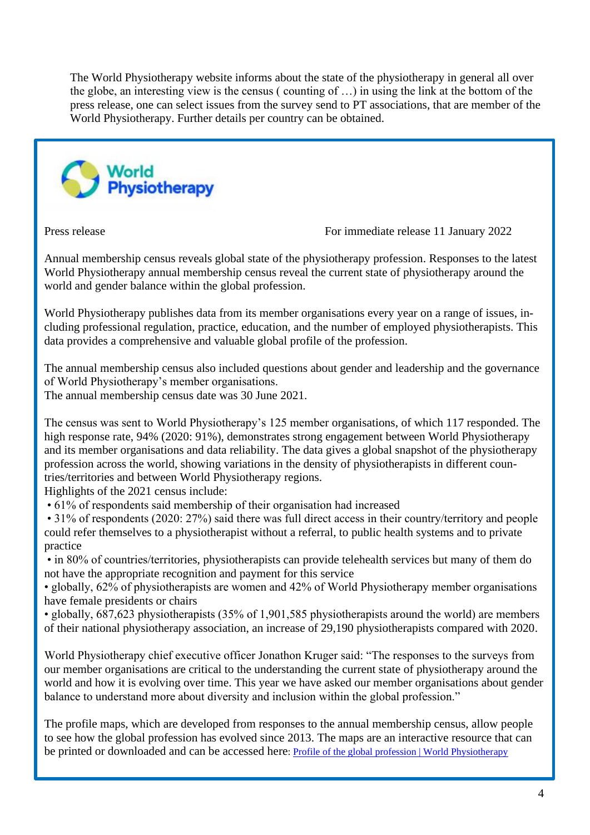The World Physiotherapy website informs about the state of the physiotherapy in general all over the globe, an interesting view is the census ( counting of …) in using the link at the bottom of the press release, one can select issues from the survey send to PT associations, that are member of the World Physiotherapy. Further details per country can be obtained.



Press release For immediate release 11 January 2022

Annual membership census reveals global state of the physiotherapy profession. Responses to the latest World Physiotherapy annual membership census reveal the current state of physiotherapy around the world and gender balance within the global profession.

World Physiotherapy publishes data from its member organisations every year on a range of issues, including professional regulation, practice, education, and the number of employed physiotherapists. This data provides a comprehensive and valuable global profile of the profession.

The annual membership census also included questions about gender and leadership and the governance of World Physiotherapy's member organisations.

The annual membership census date was 30 June 2021.

The census was sent to World Physiotherapy's 125 member organisations, of which 117 responded. The high response rate, 94% (2020: 91%), demonstrates strong engagement between World Physiotherapy and its member organisations and data reliability. The data gives a global snapshot of the physiotherapy profession across the world, showing variations in the density of physiotherapists in different countries/territories and between World Physiotherapy regions.

Highlights of the 2021 census include:

• 61% of respondents said membership of their organisation had increased

• 31% of respondents (2020: 27%) said there was full direct access in their country/territory and people could refer themselves to a physiotherapist without a referral, to public health systems and to private practice

• in 80% of countries/territories, physiotherapists can provide telehealth services but many of them do not have the appropriate recognition and payment for this service

• globally, 62% of physiotherapists are women and 42% of World Physiotherapy member organisations have female presidents or chairs

• globally, 687,623 physiotherapists (35% of 1,901,585 physiotherapists around the world) are members of their national physiotherapy association, an increase of 29,190 physiotherapists compared with 2020.

World Physiotherapy chief executive officer Jonathon Kruger said: "The responses to the surveys from our member organisations are critical to the understanding the current state of physiotherapy around the world and how it is evolving over time. This year we have asked our member organisations about gender balance to understand more about diversity and inclusion within the global profession."

The profile maps, which are developed from responses to the annual membership census, allow people to see how the global profession has evolved since 2013. The maps are an interactive resource that can be printed or downloaded and can be accessed here: [Profile of the global profession | World Physiotherapy](https://world.physio/membership/profession-profile)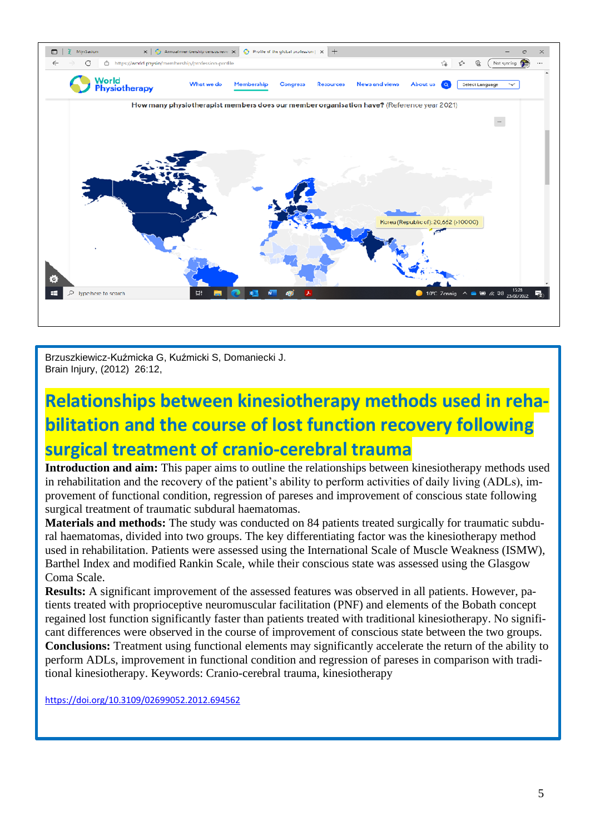

Brzuszkiewicz-Kuźmicka G, Kuźmicki S, Domaniecki J. Brain Injury, (2012) 26:12,

# **Relationships between kinesiotherapy methods used in rehabilitation and the course of lost function recovery following surgical treatment of cranio-cerebral trauma**

**Introduction and aim:** This paper aims to outline the relationships between kinesiotherapy methods used in rehabilitation and the recovery of the patient's ability to perform activities of daily living (ADLs), improvement of functional condition, regression of pareses and improvement of conscious state following surgical treatment of traumatic subdural haematomas.

**Materials and methods:** The study was conducted on 84 patients treated surgically for traumatic subdural haematomas, divided into two groups. The key differentiating factor was the kinesiotherapy method used in rehabilitation. Patients were assessed using the International Scale of Muscle Weakness (ISMW), Barthel Index and modified Rankin Scale, while their conscious state was assessed using the Glasgow Coma Scale.

**Results:** A significant improvement of the assessed features was observed in all patients. However, patients treated with proprioceptive neuromuscular facilitation (PNF) and elements of the Bobath concept regained lost function significantly faster than patients treated with traditional kinesiotherapy. No significant differences were observed in the course of improvement of conscious state between the two groups. **Conclusions:** Treatment using functional elements may significantly accelerate the return of the ability to perform ADLs, improvement in functional condition and regression of pareses in comparison with traditional kinesiotherapy. Keywords: Cranio-cerebral trauma, kinesiotherapy

<https://doi.org/10.3109/02699052.2012.694562>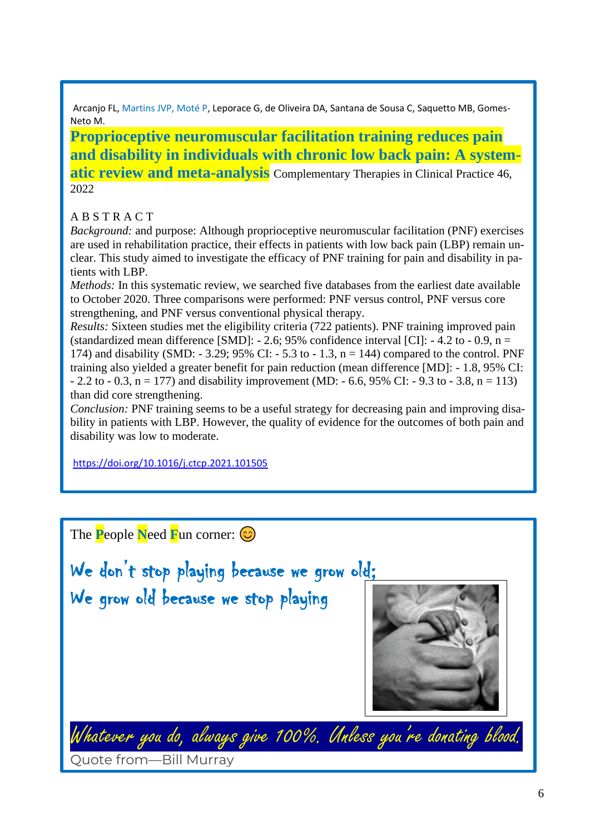Arcanjo FL, Martins JVP, Moté P, Leporace G, de Oliveira DA, Santana de Sousa C, Saquetto MB, Gomes-Neto M.

**Proprioceptive neuromuscular facilitation training reduces pain and disability in individuals with chronic low back pain: A systematic review and meta-analysis** Complementary Therapies in Clinical Practice 46, 2022

### A B S T R A C T

*Background:* and purpose: Although proprioceptive neuromuscular facilitation (PNF) exercises are used in rehabilitation practice, their effects in patients with low back pain (LBP) remain unclear. This study aimed to investigate the efficacy of PNF training for pain and disability in patients with LBP.

*Methods:* In this systematic review, we searched five databases from the earliest date available to October 2020. Three comparisons were performed: PNF versus control, PNF versus core strengthening, and PNF versus conventional physical therapy.

*Results:* Sixteen studies met the eligibility criteria (722 patients). PNF training improved pain (standardized mean difference [SMD]:  $- 2.6$ ; 95% confidence interval [CI]:  $- 4.2$  to  $- 0.9$ , n = 174) and disability (SMD:  $-3.29$ ; 95% CI:  $-5.3$  to  $-1.3$ , n = 144) compared to the control. PNF training also yielded a greater benefit for pain reduction (mean difference [MD]: - 1.8, 95% CI:  $- 2.2$  to  $- 0.3$ , n = 177) and disability improvement (MD:  $- 6.6$ , 95% CI:  $- 9.3$  to  $- 3.8$ , n = 113) than did core strengthening.

*Conclusion:* PNF training seems to be a useful strategy for decreasing pain and improving disability in patients with LBP. However, the quality of evidence for the outcomes of both pain and disability was low to moderate.

<https://doi.org/10.1016/j.ctcp.2021.101505>

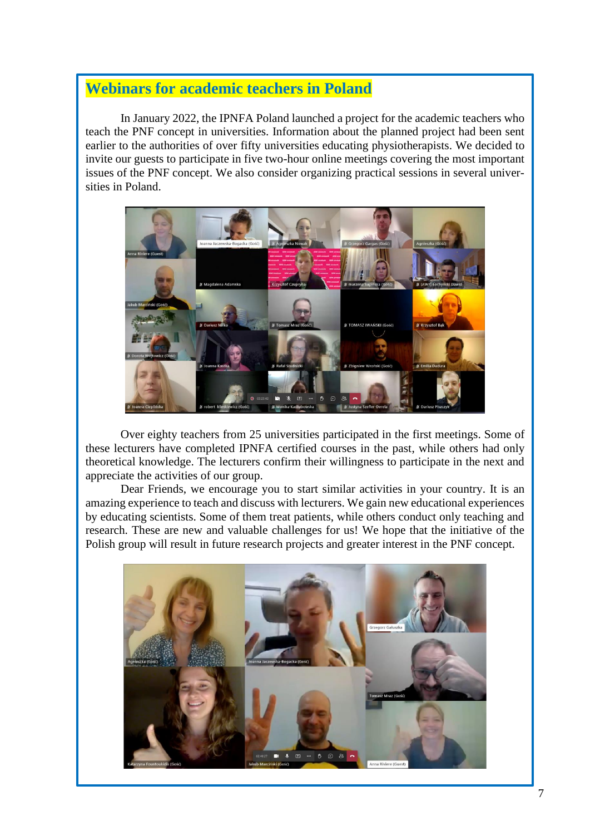### **Webinars for academic teachers in Poland**

In January 2022, the IPNFA Poland launched a project for the academic teachers who teach the PNF concept in universities. Information about the planned project had been sent earlier to the authorities of over fifty universities educating physiotherapists. We decided to invite our guests to participate in five two-hour online meetings covering the most important issues of the PNF concept. We also consider organizing practical sessions in several universities in Poland.



Over eighty teachers from 25 universities participated in the first meetings. Some of these lecturers have completed IPNFA certified courses in the past, while others had only theoretical knowledge. The lecturers confirm their willingness to participate in the next and appreciate the activities of our group.

Dear Friends, we encourage you to start similar activities in your country. It is an amazing experience to teach and discuss with lecturers. We gain new educational experiences by educating scientists. Some of them treat patients, while others conduct only teaching and research. These are new and valuable challenges for us! We hope that the initiative of the Polish group will result in future research projects and greater interest in the PNF concept.